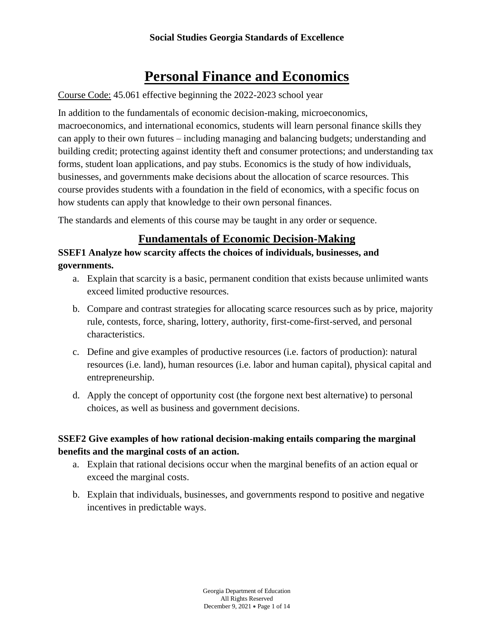# **Personal Finance and Economics**

Course Code: 45.061 effective beginning the 2022-2023 school year

In addition to the fundamentals of economic decision-making, microeconomics, macroeconomics, and international economics, students will learn personal finance skills they can apply to their own futures – including managing and balancing budgets; understanding and building credit; protecting against identity theft and consumer protections; and understanding tax forms, student loan applications, and pay stubs. Economics is the study of how individuals, businesses, and governments make decisions about the allocation of scarce resources. This course provides students with a foundation in the field of economics, with a specific focus on how students can apply that knowledge to their own personal finances.

The standards and elements of this course may be taught in any order or sequence.

# **Fundamentals of Economic Decision-Making**

**SSEF1 Analyze how scarcity affects the choices of individuals, businesses, and governments.**

- a. Explain that scarcity is a basic, permanent condition that exists because unlimited wants exceed limited productive resources.
- b. Compare and contrast strategies for allocating scarce resources such as by price, majority rule, contests, force, sharing, lottery, authority, first-come-first-served, and personal characteristics.
- c. Define and give examples of productive resources (i.e. factors of production): natural resources (i.e. land), human resources (i.e. labor and human capital), physical capital and entrepreneurship.
- d. Apply the concept of opportunity cost (the forgone next best alternative) to personal choices, as well as business and government decisions.

### **SSEF2 Give examples of how rational decision-making entails comparing the marginal benefits and the marginal costs of an action.**

- a. Explain that rational decisions occur when the marginal benefits of an action equal or exceed the marginal costs.
- b. Explain that individuals, businesses, and governments respond to positive and negative incentives in predictable ways.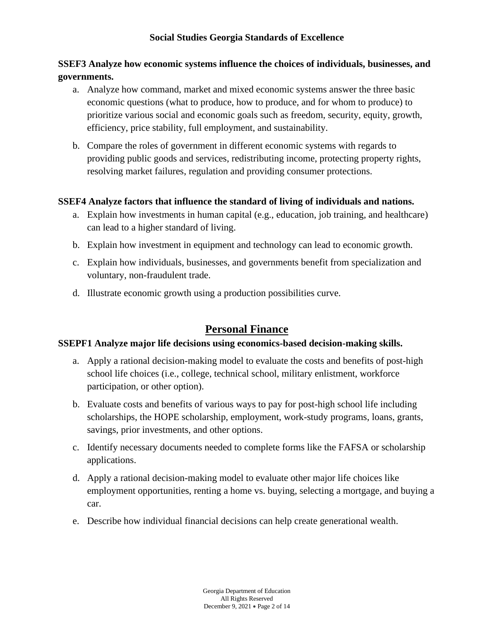# **SSEF3 Analyze how economic systems influence the choices of individuals, businesses, and governments.**

- a. Analyze how command, market and mixed economic systems answer the three basic economic questions (what to produce, how to produce, and for whom to produce) to prioritize various social and economic goals such as freedom, security, equity, growth, efficiency, price stability, full employment, and sustainability.
- b. Compare the roles of government in different economic systems with regards to providing public goods and services, redistributing income, protecting property rights, resolving market failures, regulation and providing consumer protections.

### **SSEF4 Analyze factors that influence the standard of living of individuals and nations.**

- a. Explain how investments in human capital (e.g., education, job training, and healthcare) can lead to a higher standard of living.
- b. Explain how investment in equipment and technology can lead to economic growth.
- c. Explain how individuals, businesses, and governments benefit from specialization and voluntary, non-fraudulent trade.
- d. Illustrate economic growth using a production possibilities curve.

# **Personal Finance**

# **SSEPF1 Analyze major life decisions using economics-based decision-making skills.**

- a. Apply a rational decision-making model to evaluate the costs and benefits of post-high school life choices (i.e., college, technical school, military enlistment, workforce participation, or other option).
- b. Evaluate costs and benefits of various ways to pay for post-high school life including scholarships, the HOPE scholarship, employment, work-study programs, loans, grants, savings, prior investments, and other options.
- c. Identify necessary documents needed to complete forms like the FAFSA or scholarship applications.
- d. Apply a rational decision-making model to evaluate other major life choices like employment opportunities, renting a home vs. buying, selecting a mortgage, and buying a car.
- e. Describe how individual financial decisions can help create generational wealth.

Georgia Department of Education All Rights Reserved December 9, 2021 • Page 2 of 14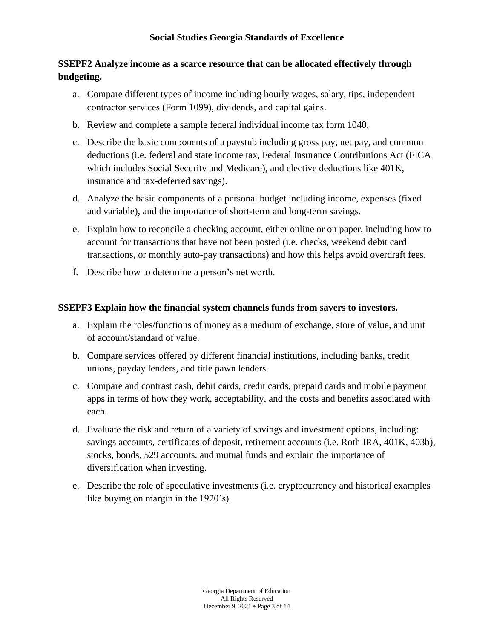# **SSEPF2 Analyze income as a scarce resource that can be allocated effectively through budgeting.**

- a. Compare different types of income including hourly wages, salary, tips, independent contractor services (Form 1099), dividends, and capital gains.
- b. Review and complete a sample federal individual income tax form 1040.
- c. Describe the basic components of a paystub including gross pay, net pay, and common deductions (i.e. federal and state income tax, Federal Insurance Contributions Act (FICA which includes Social Security and Medicare), and elective deductions like 401K, insurance and tax-deferred savings).
- d. Analyze the basic components of a personal budget including income, expenses (fixed and variable), and the importance of short-term and long-term savings.
- e. Explain how to reconcile a checking account, either online or on paper, including how to account for transactions that have not been posted (i.e. checks, weekend debit card transactions, or monthly auto-pay transactions) and how this helps avoid overdraft fees.
- f. Describe how to determine a person's net worth.

### **SSEPF3 Explain how the financial system channels funds from savers to investors.**

- a. Explain the roles/functions of money as a medium of exchange, store of value, and unit of account/standard of value.
- b. Compare services offered by different financial institutions, including banks, credit unions, payday lenders, and title pawn lenders.
- c. Compare and contrast cash, debit cards, credit cards, prepaid cards and mobile payment apps in terms of how they work, acceptability, and the costs and benefits associated with each.
- d. Evaluate the risk and return of a variety of savings and investment options, including: savings accounts, certificates of deposit, retirement accounts (i.e. Roth IRA, 401K, 403b), stocks, bonds, 529 accounts, and mutual funds and explain the importance of diversification when investing.
- e. Describe the role of speculative investments (i.e. cryptocurrency and historical examples like buying on margin in the 1920's).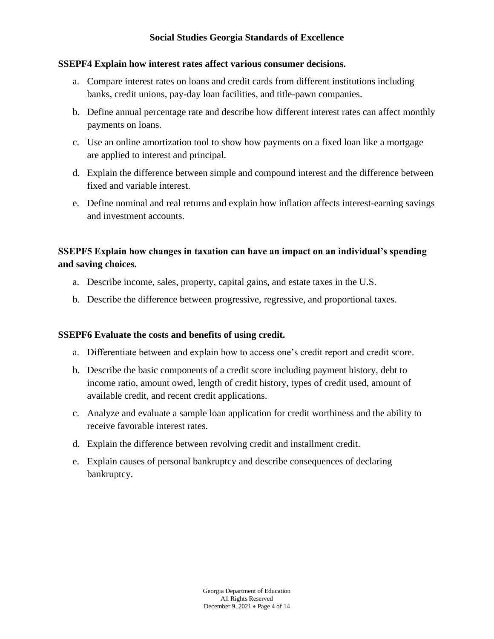### **SSEPF4 Explain how interest rates affect various consumer decisions.**

- a. Compare interest rates on loans and credit cards from different institutions including banks, credit unions, pay-day loan facilities, and title-pawn companies.
- b. Define annual percentage rate and describe how different interest rates can affect monthly payments on loans.
- c. Use an online amortization tool to show how payments on a fixed loan like a mortgage are applied to interest and principal.
- d. Explain the difference between simple and compound interest and the difference between fixed and variable interest.
- e. Define nominal and real returns and explain how inflation affects interest-earning savings and investment accounts.

# **SSEPF5 Explain how changes in taxation can have an impact on an individual's spending and saving choices.**

- a. Describe income, sales, property, capital gains, and estate taxes in the U.S.
- b. Describe the difference between progressive, regressive, and proportional taxes.

### **SSEPF6 Evaluate the costs and benefits of using credit.**

- a. Differentiate between and explain how to access one's credit report and credit score.
- b. Describe the basic components of a credit score including payment history, debt to income ratio, amount owed, length of credit history, types of credit used, amount of available credit, and recent credit applications.
- c. Analyze and evaluate a sample loan application for credit worthiness and the ability to receive favorable interest rates.
- d. Explain the difference between revolving credit and installment credit.
- e. Explain causes of personal bankruptcy and describe consequences of declaring bankruptcy.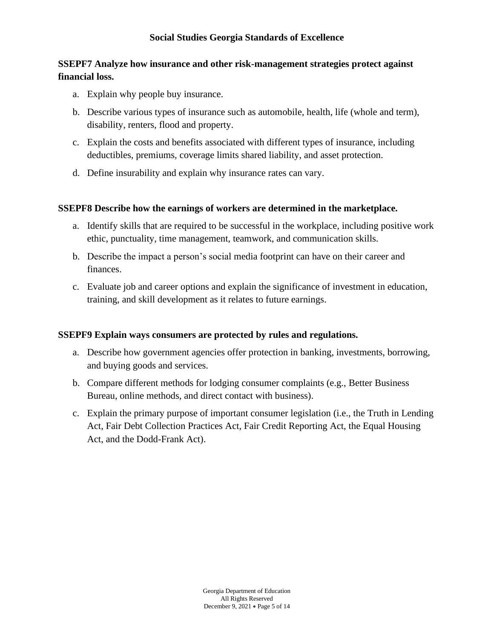### **SSEPF7 Analyze how insurance and other risk-management strategies protect against financial loss.**

- a. Explain why people buy insurance.
- b. Describe various types of insurance such as automobile, health, life (whole and term), disability, renters, flood and property.
- c. Explain the costs and benefits associated with different types of insurance, including deductibles, premiums, coverage limits shared liability, and asset protection.
- d. Define insurability and explain why insurance rates can vary.

### **SSEPF8 Describe how the earnings of workers are determined in the marketplace.**

- a. Identify skills that are required to be successful in the workplace, including positive work ethic, punctuality, time management, teamwork, and communication skills.
- b. Describe the impact a person's social media footprint can have on their career and finances.
- c. Evaluate job and career options and explain the significance of investment in education, training, and skill development as it relates to future earnings.

### **SSEPF9 Explain ways consumers are protected by rules and regulations.**

- a. Describe how government agencies offer protection in banking, investments, borrowing, and buying goods and services.
- b. Compare different methods for lodging consumer complaints (e.g., Better Business Bureau, online methods, and direct contact with business).
- c. Explain the primary purpose of important consumer legislation (i.e., the Truth in Lending Act, Fair Debt Collection Practices Act, Fair Credit Reporting Act, the Equal Housing Act, and the Dodd-Frank Act).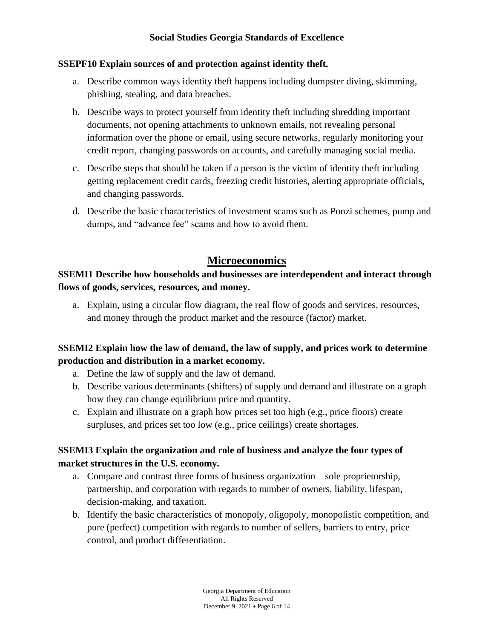### **SSEPF10 Explain sources of and protection against identity theft.**

- a. Describe common ways identity theft happens including dumpster diving, skimming, phishing, stealing, and data breaches.
- b. Describe ways to protect yourself from identity theft including shredding important documents, not opening attachments to unknown emails, not revealing personal information over the phone or email, using secure networks, regularly monitoring your credit report, changing passwords on accounts, and carefully managing social media.
- c. Describe steps that should be taken if a person is the victim of identity theft including getting replacement credit cards, freezing credit histories, alerting appropriate officials, and changing passwords.
- d. Describe the basic characteristics of investment scams such as Ponzi schemes, pump and dumps, and "advance fee" scams and how to avoid them.

# **Microeconomics**

# **SSEMI1 Describe how households and businesses are interdependent and interact through flows of goods, services, resources, and money.**

a. Explain, using a circular flow diagram, the real flow of goods and services, resources, and money through the product market and the resource (factor) market.

# **SSEMI2 Explain how the law of demand, the law of supply, and prices work to determine production and distribution in a market economy.**

- a. Define the law of supply and the law of demand.
- b. Describe various determinants (shifters) of supply and demand and illustrate on a graph how they can change equilibrium price and quantity.
- c. Explain and illustrate on a graph how prices set too high (e.g., price floors) create surpluses, and prices set too low (e.g., price ceilings) create shortages.

# **SSEMI3 Explain the organization and role of business and analyze the four types of market structures in the U.S. economy.**

- a. Compare and contrast three forms of business organization—sole proprietorship, partnership, and corporation with regards to number of owners, liability, lifespan, decision-making, and taxation.
- b. Identify the basic characteristics of monopoly, oligopoly, monopolistic competition, and pure (perfect) competition with regards to number of sellers, barriers to entry, price control, and product differentiation.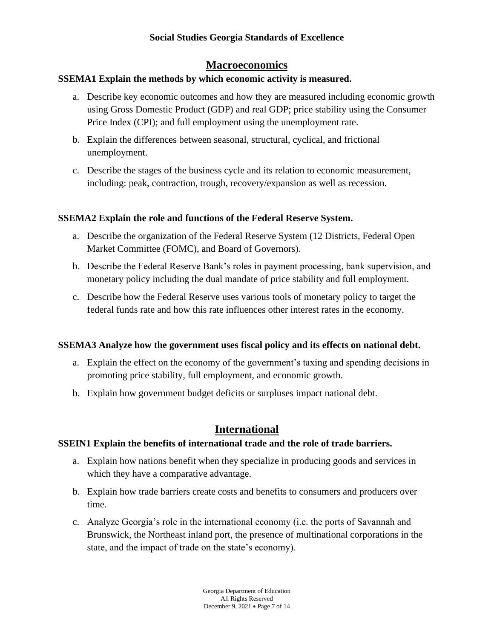# **Macroeconomics**

### **SSEMA1 Explain the methods by which economic activity is measured.**

- a. Describe key economic outcomes and how they are measured including economic growth using Gross Domestic Product (GDP) and real GDP; price stability using the Consumer Price Index (CPI); and full employment using the unemployment rate.
- b. Explain the differences between seasonal, structural, cyclical, and frictional unemployment.
- c. Describe the stages of the business cycle and its relation to economic measurement, including: peak, contraction, trough, recovery/expansion as well as recession.

### **SSEMA2 Explain the role and functions of the Federal Reserve System.**

- a. Describe the organization of the Federal Reserve System (12 Districts, Federal Open Market Committee (FOMC), and Board of Governors).
- b. Describe the Federal Reserve Bank's roles in payment processing, bank supervision, and monetary policy including the dual mandate of price stability and full employment.
- c. Describe how the Federal Reserve uses various tools of monetary policy to target the federal funds rate and how this rate influences other interest rates in the economy.

# **SSEMA3 Analyze how the government uses fiscal policy and its effects on national debt.**

- a. Explain the effect on the economy of the government's taxing and spending decisions in promoting price stability, full employment, and economic growth.
- b. Explain how government budget deficits or surpluses impact national debt.

# **International**

# **SSEIN1 Explain the benefits of international trade and the role of trade barriers.**

- a. Explain how nations benefit when they specialize in producing goods and services in which they have a comparative advantage.
- b. Explain how trade barriers create costs and benefits to consumers and producers over time.
- c. Analyze Georgia's role in the international economy (i.e. the ports of Savannah and Brunswick, the Northeast inland port, the presence of multinational corporations in the state, and the impact of trade on the state's economy).

Georgia Department of Education All Rights Reserved December 9, 2021 • Page 7 of 14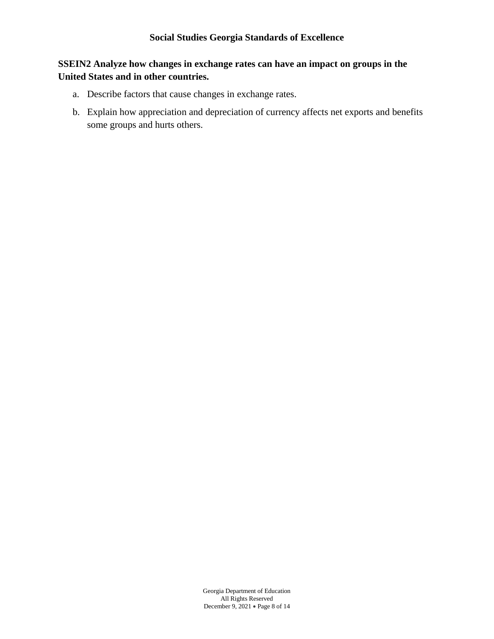# **SSEIN2 Analyze how changes in exchange rates can have an impact on groups in the United States and in other countries.**

- a. Describe factors that cause changes in exchange rates.
- b. Explain how appreciation and depreciation of currency affects net exports and benefits some groups and hurts others.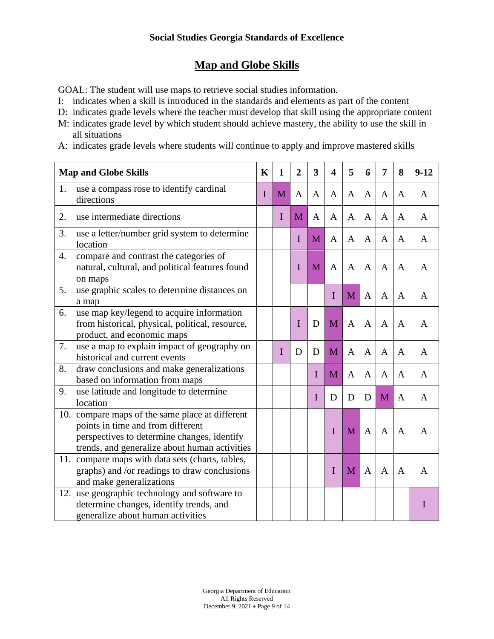# **Map and Globe Skills**

GOAL: The student will use maps to retrieve social studies information.

- I: indicates when a skill is introduced in the standards and elements as part of the content
- D: indicates grade levels where the teacher must develop that skill using the appropriate content
- M: indicates grade level by which student should achieve mastery, the ability to use the skill in all situations
- A: indicates grade levels where students will continue to apply and improve mastered skills

| <b>Map and Globe Skills</b> |                                                                                                                                                                                      | $\mathbf K$ | $\mathbf{1}$ | $\overline{2}$ | 3           | $\overline{\mathbf{4}}$ | 5              | 6            | 7            | 8            | $9-12$ |
|-----------------------------|--------------------------------------------------------------------------------------------------------------------------------------------------------------------------------------|-------------|--------------|----------------|-------------|-------------------------|----------------|--------------|--------------|--------------|--------|
| 1.                          | use a compass rose to identify cardinal<br>directions                                                                                                                                | $\mathbf I$ | M            | A              | A           | A                       | A              | A            | A            | A            | A      |
| 2.                          | use intermediate directions                                                                                                                                                          |             | I            | M              | A           | A                       | $\mathbf{A}$   | A            | A            | A            | A      |
| 3.                          | use a letter/number grid system to determine<br>location                                                                                                                             |             |              | I              | M           | $\mathbf{A}$            | $\overline{A}$ | $\mathbf{A}$ | $\mathbf{A}$ | A            | A      |
| $\overline{4}$ .            | compare and contrast the categories of<br>natural, cultural, and political features found<br>on maps                                                                                 |             |              | I              | M           | $\mathbf{A}$            | $\overline{A}$ | A            | A            | A            | A      |
| 5.                          | use graphic scales to determine distances on<br>a map                                                                                                                                |             |              |                |             | L                       | M              | $\mathsf{A}$ | $\mathsf{A}$ | A            | A      |
| 6.                          | use map key/legend to acquire information<br>from historical, physical, political, resource,<br>product, and economic maps                                                           |             |              | I              | D           | M                       | $\overline{A}$ | A            | $\mathbf{A}$ | A            | A      |
| 7.                          | use a map to explain impact of geography on<br>historical and current events                                                                                                         |             | I            | D              | D           | M                       | $\mathbf{A}$   | $\mathbf{A}$ | $\mathbf{A}$ | A            | A      |
| 8.                          | draw conclusions and make generalizations<br>based on information from maps                                                                                                          |             |              |                | $\mathbf I$ | M                       | A              | A            | A            | A            | A      |
| 9.                          | use latitude and longitude to determine<br>location                                                                                                                                  |             |              |                | $\mathbf I$ | D                       | D              | D            | M            | $\mathbf{A}$ | A      |
|                             | 10. compare maps of the same place at different<br>points in time and from different<br>perspectives to determine changes, identify<br>trends, and generalize about human activities |             |              |                |             | I                       | M              | $\mathbf{A}$ | $\mathbf{A}$ | A            | A      |
|                             | 11. compare maps with data sets (charts, tables,<br>graphs) and /or readings to draw conclusions<br>and make generalizations                                                         |             |              |                |             | I                       | M              | $\mathbf{A}$ | $\mathbf{A}$ | A            | A      |
| 12.                         | use geographic technology and software to<br>determine changes, identify trends, and<br>generalize about human activities                                                            |             |              |                |             |                         |                |              |              |              | Ι      |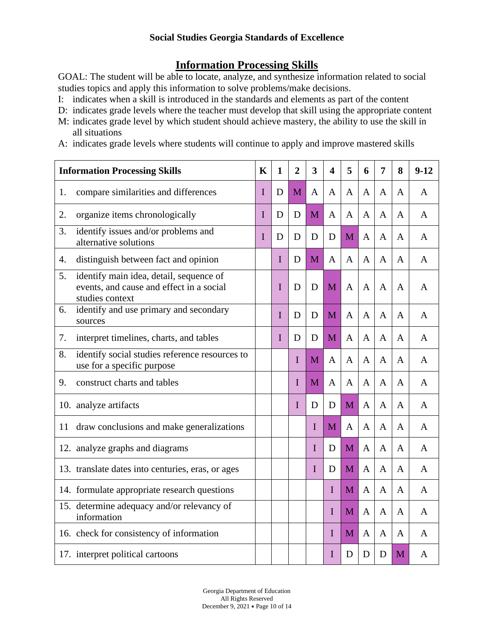# **Information Processing Skills**

GOAL: The student will be able to locate, analyze, and synthesize information related to social studies topics and apply this information to solve problems/make decisions.

- I: indicates when a skill is introduced in the standards and elements as part of the content
- D: indicates grade levels where the teacher must develop that skill using the appropriate content
- M: indicates grade level by which student should achieve mastery, the ability to use the skill in all situations
- A: indicates grade levels where students will continue to apply and improve mastered skills

| <b>Information Processing Skills</b> |                                                                                                        | K | $\mathbf{1}$ | $\overline{2}$ | 3 | $\overline{\mathbf{4}}$ | 5            | 6              | 7              | 8 | $9-12$         |
|--------------------------------------|--------------------------------------------------------------------------------------------------------|---|--------------|----------------|---|-------------------------|--------------|----------------|----------------|---|----------------|
| 1.                                   | compare similarities and differences                                                                   | I | D            | M              | A | $\mathbf{A}$            | A            | $\mathbf{A}$   | $\mathbf{A}$   | A | $\mathbf{A}$   |
| 2.                                   | organize items chronologically                                                                         | I | D            | D              | M | $\mathbf{A}$            | $\mathbf{A}$ | $\mathbf{A}$   | $\overline{A}$ | A | $\overline{A}$ |
| 3.                                   | identify issues and/or problems and<br>alternative solutions                                           | I | D            | D              | D | D                       | M            | $\overline{A}$ | $\mathbf{A}$   | A | $\mathbf{A}$   |
| 4.                                   | distinguish between fact and opinion                                                                   |   | $\mathbf I$  | D              | M | A                       | $\mathbf{A}$ | $\mathbf{A}$   | $\mathbf{A}$   | A | A              |
| 5.                                   | identify main idea, detail, sequence of<br>events, and cause and effect in a social<br>studies context |   | I            | D              | D | M                       | $\mathbf{A}$ | $\mathbf{A}$   | A              | A | A              |
| 6.                                   | identify and use primary and secondary<br>sources                                                      |   | I            | D              | D | M                       | A            | $\mathbf{A}$   | $\mathbf{A}$   | A | A              |
| 7.                                   | interpret timelines, charts, and tables                                                                |   | I            | D              | D | M                       | $\mathbf{A}$ | $\mathbf{A}$   | A              | A | A              |
| 8.                                   | identify social studies reference resources to<br>use for a specific purpose                           |   |              | I              | M | $\mathbf{A}$            | $\mathbf{A}$ | $\mathbf{A}$   | $\mathbf{A}$   | A | A              |
| 9.                                   | construct charts and tables                                                                            |   |              | I              | M | $\mathbf{A}$            | A            | $\mathbf{A}$   | $\mathbf{A}$   | A | $\mathbf{A}$   |
|                                      | 10. analyze artifacts                                                                                  |   |              | I              | D | D                       | M            | A              | A              | A | A              |
| 11                                   | draw conclusions and make generalizations                                                              |   |              |                | I | M                       | A            | $\mathbf{A}$   | $\mathbf{A}$   | A | A              |
|                                      | 12. analyze graphs and diagrams                                                                        |   |              |                | I | D                       | M            | A              | A              | A | A              |
|                                      | 13. translate dates into centuries, eras, or ages                                                      |   |              |                | I | D                       | M            | $\mathbf{A}$   | A              | A | A              |
|                                      | 14. formulate appropriate research questions                                                           |   |              |                |   | I                       | M            | $\mathbf{A}$   | $\mathbf{A}$   | A | $\mathbf{A}$   |
|                                      | 15. determine adequacy and/or relevancy of<br>information                                              |   |              |                |   | I                       | M            | $\mathbf{A}$   | A              | A | A              |
|                                      | 16. check for consistency of information                                                               |   |              |                |   | I                       | M            | $\mathbf{A}$   | $\mathbf{A}$   | A | A              |
|                                      | 17. interpret political cartoons                                                                       |   |              |                |   | I                       | D            | D              | D              | M | A              |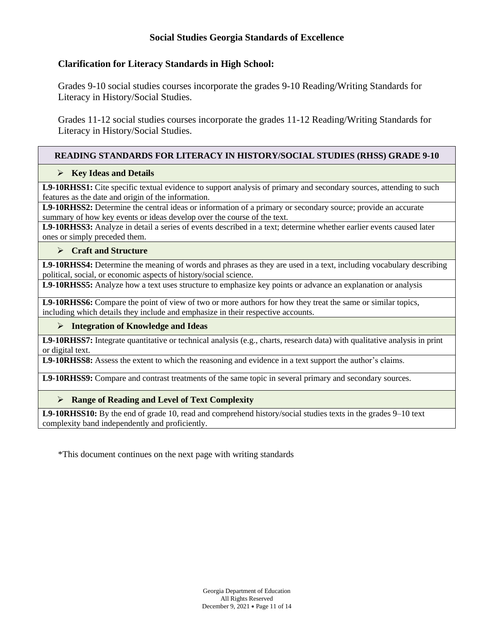### **Clarification for Literacy Standards in High School:**

Grades 9-10 social studies courses incorporate the grades 9-10 Reading/Writing Standards for Literacy in History/Social Studies.

Grades 11-12 social studies courses incorporate the grades 11-12 Reading/Writing Standards for Literacy in History/Social Studies.

### **READING STANDARDS FOR LITERACY IN HISTORY/SOCIAL STUDIES (RHSS) GRADE 9-10**

### ➢ **Key Ideas and Details**

**L9-10RHSS1:** Cite specific textual evidence to support analysis of primary and secondary sources, attending to such features as the date and origin of the information.

**L9-10RHSS2:** Determine the central ideas or information of a primary or secondary source; provide an accurate summary of how key events or ideas develop over the course of the text.

**L9-10RHSS3:** Analyze in detail a series of events described in a text; determine whether earlier events caused later ones or simply preceded them.

#### ➢ **Craft and Structure**

**L9-10RHSS4:** Determine the meaning of words and phrases as they are used in a text, including vocabulary describing political, social, or economic aspects of history/social science.

**L9-10RHSS5:** Analyze how a text uses structure to emphasize key points or advance an explanation or analysis

**L9-10RHSS6:** Compare the point of view of two or more authors for how they treat the same or similar topics, including which details they include and emphasize in their respective accounts.

### ➢ **Integration of Knowledge and Ideas**

**L9-10RHSS7:** Integrate quantitative or technical analysis (e.g., charts, research data) with qualitative analysis in print or digital text.

**L9-10RHSS8:** Assess the extent to which the reasoning and evidence in a text support the author's claims.

**L9-10RHSS9:** Compare and contrast treatments of the same topic in several primary and secondary sources.

### ➢ **Range of Reading and Level of Text Complexity**

**L9-10RHSS10:** By the end of grade 10, read and comprehend history/social studies texts in the grades 9–10 text complexity band independently and proficiently.

\*This document continues on the next page with writing standards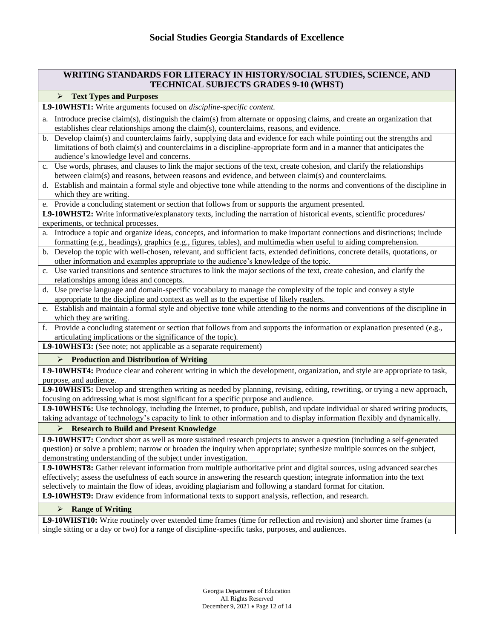#### **WRITING STANDARDS FOR LITERACY IN HISTORY/SOCIAL STUDIES, SCIENCE, AND TECHNICAL SUBJECTS GRADES 9-10 (WHST)**

#### ➢ **Text Types and Purposes**

**L9-10WHST1:** Write arguments focused on *discipline-specific content.*

- a. Introduce precise claim(s), distinguish the claim(s) from alternate or opposing claims, and create an organization that establishes clear relationships among the claim(s), counterclaims, reasons, and evidence.
- b. Develop claim(s) and counterclaims fairly, supplying data and evidence for each while pointing out the strengths and limitations of both claim(s) and counterclaims in a discipline-appropriate form and in a manner that anticipates the audience's knowledge level and concerns.
- c. Use words, phrases, and clauses to link the major sections of the text, create cohesion, and clarify the relationships between claim(s) and reasons, between reasons and evidence, and between claim(s) and counterclaims.
- d. Establish and maintain a formal style and objective tone while attending to the norms and conventions of the discipline in which they are writing.
- Provide a concluding statement or section that follows from or supports the argument presented.

**L9-10WHST2:** Write informative/explanatory texts, including the narration of historical events, scientific procedures/ experiments, or technical processes.

- a. Introduce a topic and organize ideas, concepts, and information to make important connections and distinctions; include formatting (e.g., headings), graphics (e.g., figures, tables), and multimedia when useful to aiding comprehension.
- b. Develop the topic with well-chosen, relevant, and sufficient facts, extended definitions, concrete details, quotations, or other information and examples appropriate to the audience's knowledge of the topic.
- c. Use varied transitions and sentence structures to link the major sections of the text, create cohesion, and clarify the relationships among ideas and concepts.
- d. Use precise language and domain-specific vocabulary to manage the complexity of the topic and convey a style appropriate to the discipline and context as well as to the expertise of likely readers.
- e. Establish and maintain a formal style and objective tone while attending to the norms and conventions of the discipline in which they are writing.
- f. Provide a concluding statement or section that follows from and supports the information or explanation presented (e.g., articulating implications or the significance of the topic).
- **L9-10WHST3:** (See note; not applicable as a separate requirement)

#### ➢ **Production and Distribution of Writing**

**L9-10WHST4:** Produce clear and coherent writing in which the development, organization, and style are appropriate to task, purpose, and audience.

**L9-10WHST5:** Develop and strengthen writing as needed by planning, revising, editing, rewriting, or trying a new approach, focusing on addressing what is most significant for a specific purpose and audience.

**L9-10WHST6:** Use technology, including the Internet, to produce, publish, and update individual or shared writing products, taking advantage of technology's capacity to link to other information and to display information flexibly and dynamically.

#### ➢ **Research to Build and Present Knowledge**

**L9-10WHST7:** Conduct short as well as more sustained research projects to answer a question (including a self-generated question) or solve a problem; narrow or broaden the inquiry when appropriate; synthesize multiple sources on the subject, demonstrating understanding of the subject under investigation.

**L9-10WHST8:** Gather relevant information from multiple authoritative print and digital sources, using advanced searches effectively; assess the usefulness of each source in answering the research question; integrate information into the text selectively to maintain the flow of ideas, avoiding plagiarism and following a standard format for citation.

**L9-10WHST9:** Draw evidence from informational texts to support analysis, reflection, and research.

#### ➢ **Range of Writing**

**L9-10WHST10:** Write routinely over extended time frames (time for reflection and revision) and shorter time frames (a single sitting or a day or two) for a range of discipline-specific tasks, purposes, and audiences.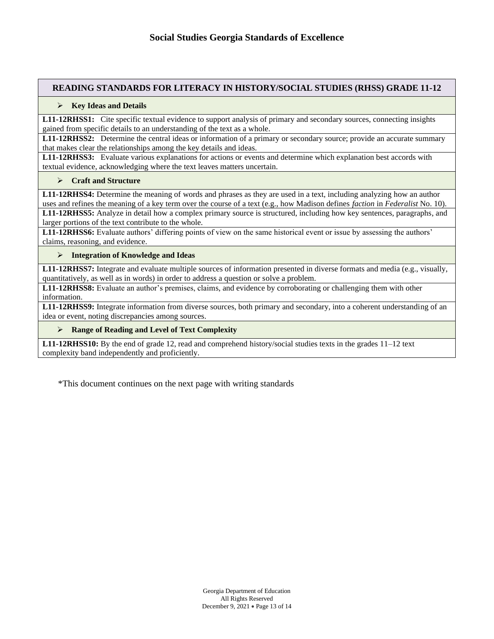### **READING STANDARDS FOR LITERACY IN HISTORY/SOCIAL STUDIES (RHSS) GRADE 11-12**

#### ➢ **Key Ideas and Details**

**L11-12RHSS1:** Cite specific textual evidence to support analysis of primary and secondary sources, connecting insights gained from specific details to an understanding of the text as a whole.

**L11-12RHSS2:** Determine the central ideas or information of a primary or secondary source; provide an accurate summary that makes clear the relationships among the key details and ideas.

**L11-12RHSS3:** Evaluate various explanations for actions or events and determine which explanation best accords with textual evidence, acknowledging where the text leaves matters uncertain.

#### ➢ **Craft and Structure**

**L11-12RHSS4:** Determine the meaning of words and phrases as they are used in a text, including analyzing how an author uses and refines the meaning of a key term over the course of a text (e.g., how Madison defines *faction* in *Federalist* No. 10).

**L11-12RHSS5:** Analyze in detail how a complex primary source is structured, including how key sentences, paragraphs, and larger portions of the text contribute to the whole.

**L11-12RHSS6:** Evaluate authors' differing points of view on the same historical event or issue by assessing the authors' claims, reasoning, and evidence.

#### ➢ **Integration of Knowledge and Ideas**

**L11-12RHSS7:** Integrate and evaluate multiple sources of information presented in diverse formats and media (e.g., visually, quantitatively, as well as in words) in order to address a question or solve a problem.

**L11-12RHSS8:** Evaluate an author's premises, claims, and evidence by corroborating or challenging them with other information.

**L11-12RHSS9:** Integrate information from diverse sources, both primary and secondary, into a coherent understanding of an idea or event, noting discrepancies among sources.

#### ➢ **Range of Reading and Level of Text Complexity**

**L11-12RHSS10:** By the end of grade 12, read and comprehend history/social studies texts in the grades 11–12 text complexity band independently and proficiently.

\*This document continues on the next page with writing standards